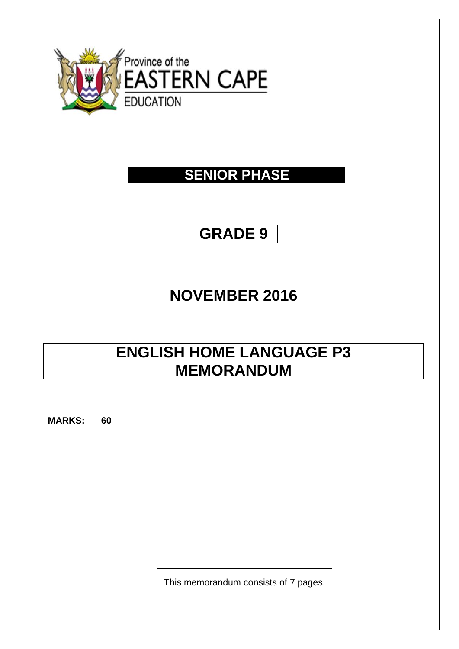

## **SENIOR PHASE**

# **GRADE 9**

# **NOVEMBER 2016**

# **ENGLISH HOME LANGUAGE P3 MEMORANDUM**

**MARKS: 60**

This memorandum consists of 7 pages.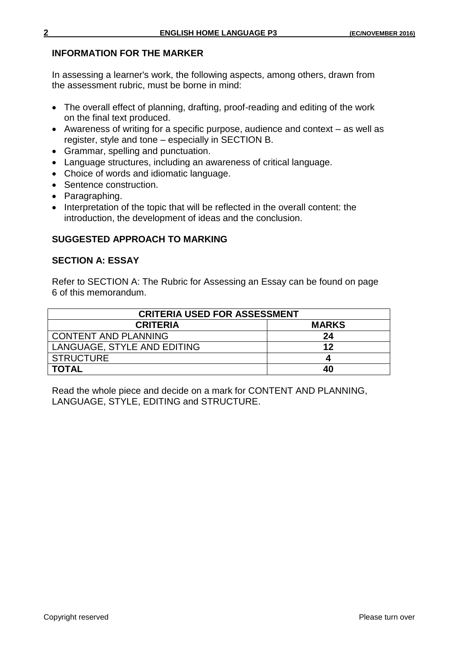## **INFORMATION FOR THE MARKER**

In assessing a learner's work, the following aspects, among others, drawn from the assessment rubric, must be borne in mind:

- The overall effect of planning, drafting, proof-reading and editing of the work on the final text produced.
- Awareness of writing for a specific purpose, audience and context as well as register, style and tone – especially in SECTION B.
- Grammar, spelling and punctuation.
- Language structures, including an awareness of critical language.
- Choice of words and idiomatic language.
- Sentence construction.
- Paragraphing.
- Interpretation of the topic that will be reflected in the overall content: the introduction, the development of ideas and the conclusion.

## **SUGGESTED APPROACH TO MARKING**

## **SECTION A: ESSAY**

Refer to SECTION A: The Rubric for Assessing an Essay can be found on page 6 of this memorandum.

| <b>CRITERIA USED FOR ASSESSMENT</b> |              |  |  |  |
|-------------------------------------|--------------|--|--|--|
| <b>CRITERIA</b>                     | <b>MARKS</b> |  |  |  |
| <b>CONTENT AND PLANNING</b>         | 24           |  |  |  |
| LANGUAGE, STYLE AND EDITING         | 12           |  |  |  |
| <b>STRUCTURE</b>                    |              |  |  |  |
| TOTAL                               | 40           |  |  |  |

Read the whole piece and decide on a mark for CONTENT AND PLANNING, LANGUAGE, STYLE, EDITING and STRUCTURE.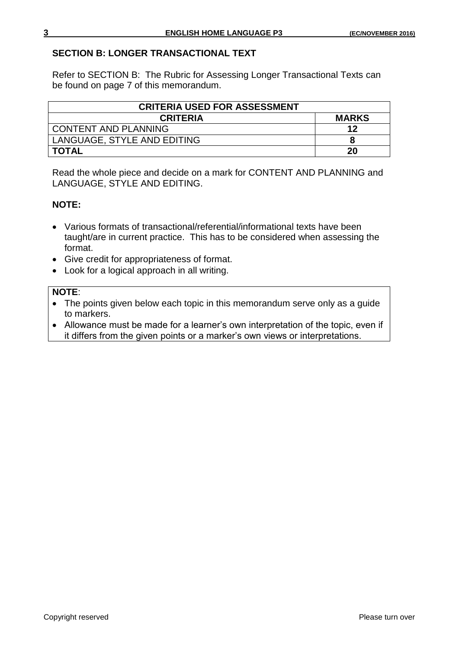## **SECTION B: LONGER TRANSACTIONAL TEXT**

Refer to SECTION B: The Rubric for Assessing Longer Transactional Texts can be found on page 7 of this memorandum.

| <b>CRITERIA USED FOR ASSESSMENT</b> |              |
|-------------------------------------|--------------|
| <b>CRITERIA</b>                     | <b>MARKS</b> |
| <b>CONTENT AND PLANNING</b>         | 12           |
| LANGUAGE, STYLE AND EDITING         |              |
| <b>TOTAL</b>                        | 20           |

Read the whole piece and decide on a mark for CONTENT AND PLANNING and LANGUAGE, STYLE AND EDITING.

## **NOTE:**

- Various formats of transactional/referential/informational texts have been taught/are in current practice. This has to be considered when assessing the format.
- Give credit for appropriateness of format.
- Look for a logical approach in all writing.

## **NOTE**:

- The points given below each topic in this memorandum serve only as a guide to markers.
- Allowance must be made for a learner's own interpretation of the topic, even if it differs from the given points or a marker's own views or interpretations.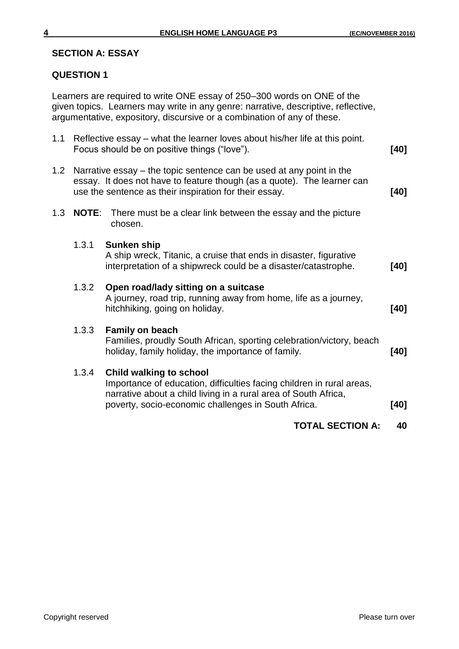#### **SECTION A: ESSAY**

### **QUESTION 1**

Learners are required to write ONE essay of 250–300 words on ONE of the given topics. Learners may write in any genre: narrative, descriptive, reflective, argumentative, expository, discursive or a combination of any of these.

|                  |                                                                                                                                                                                                                   | <b>TOTAL SECTION A:</b>                                                                                                                                                                                                           | 40   |  |  |
|------------------|-------------------------------------------------------------------------------------------------------------------------------------------------------------------------------------------------------------------|-----------------------------------------------------------------------------------------------------------------------------------------------------------------------------------------------------------------------------------|------|--|--|
|                  | 1.3.4                                                                                                                                                                                                             | <b>Child walking to school</b><br>Importance of education, difficulties facing children in rural areas,<br>narrative about a child living in a rural area of South Africa,<br>poverty, socio-economic challenges in South Africa. | [40] |  |  |
|                  | 1.3.3                                                                                                                                                                                                             | <b>Family on beach</b><br>Families, proudly South African, sporting celebration/victory, beach<br>holiday, family holiday, the importance of family.                                                                              | [40] |  |  |
|                  | 1.3.2                                                                                                                                                                                                             | Open road/lady sitting on a suitcase<br>A journey, road trip, running away from home, life as a journey,<br>hitchhiking, going on holiday.                                                                                        | [40] |  |  |
|                  | 1.3.1                                                                                                                                                                                                             | <b>Sunken ship</b><br>A ship wreck, Titanic, a cruise that ends in disaster, figurative<br>interpretation of a shipwreck could be a disaster/catastrophe.                                                                         | [40] |  |  |
| 1.3              |                                                                                                                                                                                                                   | <b>NOTE:</b> There must be a clear link between the essay and the picture<br>chosen.                                                                                                                                              |      |  |  |
| 1.2 <sub>2</sub> | Narrative essay – the topic sentence can be used at any point in the<br>essay. It does not have to feature though (as a quote). The learner can<br>use the sentence as their inspiration for their essay.<br>[40] |                                                                                                                                                                                                                                   |      |  |  |
| 1.1              | Reflective essay – what the learner loves about his/her life at this point.<br>Focus should be on positive things ("love").<br>[40]                                                                               |                                                                                                                                                                                                                                   |      |  |  |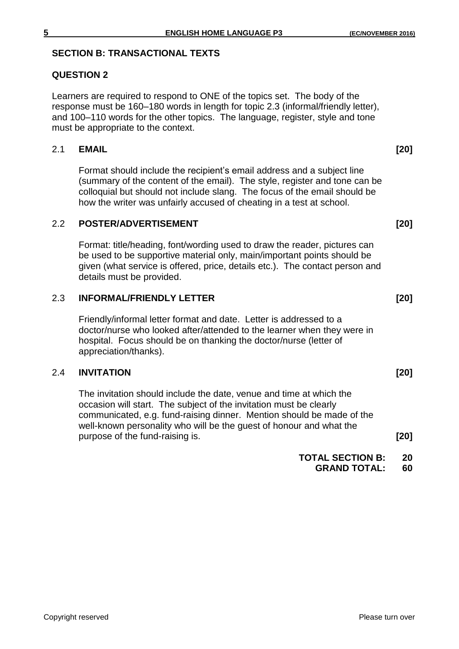## **SECTION B: TRANSACTIONAL TEXTS**

## **QUESTION 2**

Learners are required to respond to ONE of the topics set. The body of the response must be 160–180 words in length for topic 2.3 (informal/friendly letter), and 100–110 words for the other topics. The language, register, style and tone must be appropriate to the context.

## 2.1 **EMAIL [20]**

Format should include the recipient's email address and a subject line (summary of the content of the email). The style, register and tone can be colloquial but should not include slang. The focus of the email should be how the writer was unfairly accused of cheating in a test at school.

## 2.2 **POSTER/ADVERTISEMENT** 2.2 **POSTER/ADVERTISEMENT**

Format: title/heading, font/wording used to draw the reader, pictures can be used to be supportive material only, main/important points should be given (what service is offered, price, details etc.). The contact person and details must be provided.

#### 2.3 **INFORMAL/FRIENDLY LETTER [20]**

Friendly/informal letter format and date. Letter is addressed to a doctor/nurse who looked after/attended to the learner when they were in hospital. Focus should be on thanking the doctor/nurse (letter of appreciation/thanks).

## 2.4 **INVITATION [20]**

The invitation should include the date, venue and time at which the occasion will start. The subject of the invitation must be clearly communicated, e.g. fund-raising dinner. Mention should be made of the well-known personality who will be the guest of honour and what the purpose of the fund-raising is. **[20]**

**TOTAL SECTION B: 20**

**GRAND TOTAL: 60**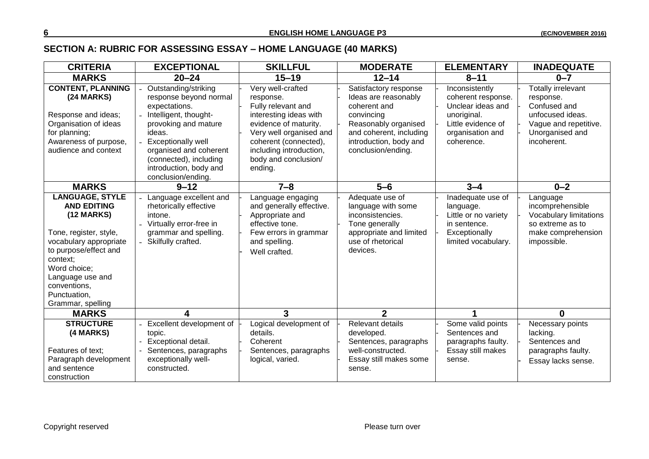## **SECTION A: RUBRIC FOR ASSESSING ESSAY – HOME LANGUAGE (40 MARKS)**

| <b>CRITERIA</b>                                                                                                                                                                                                                                | <b>EXCEPTIONAL</b>                                                                                                                                                                                                                                          | <b>SKILLFUL</b>                                                                                                                                                                                                           | <b>MODERATE</b>                                                                                                                                                                | <b>ELEMENTARY</b>                                                                                                                | <b>INADEQUATE</b>                                                                                                                     |
|------------------------------------------------------------------------------------------------------------------------------------------------------------------------------------------------------------------------------------------------|-------------------------------------------------------------------------------------------------------------------------------------------------------------------------------------------------------------------------------------------------------------|---------------------------------------------------------------------------------------------------------------------------------------------------------------------------------------------------------------------------|--------------------------------------------------------------------------------------------------------------------------------------------------------------------------------|----------------------------------------------------------------------------------------------------------------------------------|---------------------------------------------------------------------------------------------------------------------------------------|
| <b>MARKS</b>                                                                                                                                                                                                                                   | $20 - 24$                                                                                                                                                                                                                                                   | $15 - 19$                                                                                                                                                                                                                 | $12 - 14$                                                                                                                                                                      | $8 - 11$                                                                                                                         | $0 - 7$                                                                                                                               |
| <b>CONTENT, PLANNING</b><br>(24 MARKS)<br>Response and ideas;<br>Organisation of ideas<br>for planning;<br>Awareness of purpose,<br>audience and context                                                                                       | Outstanding/striking<br>response beyond normal<br>expectations.<br>Intelligent, thought-<br>provoking and mature<br>ideas.<br><b>Exceptionally well</b><br>organised and coherent<br>(connected), including<br>introduction, body and<br>conclusion/ending. | Very well-crafted<br>response.<br>Fully relevant and<br>interesting ideas with<br>evidence of maturity.<br>Very well organised and<br>coherent (connected),<br>including introduction,<br>body and conclusion/<br>ending. | Satisfactory response<br>Ideas are reasonably<br>coherent and<br>convincing<br>Reasonably organised<br>and coherent, including<br>introduction, body and<br>conclusion/ending. | Inconsistently<br>coherent response.<br>Unclear ideas and<br>unoriginal.<br>Little evidence of<br>organisation and<br>coherence. | <b>Totally irrelevant</b><br>response.<br>Confused and<br>unfocused ideas.<br>Vague and repetitive.<br>Unorganised and<br>incoherent. |
| <b>MARKS</b>                                                                                                                                                                                                                                   | $9 - 12$                                                                                                                                                                                                                                                    | $7 - 8$                                                                                                                                                                                                                   | $5-6$                                                                                                                                                                          | $3 - 4$                                                                                                                          | $0 - 2$                                                                                                                               |
| <b>LANGUAGE, STYLE</b><br><b>AND EDITING</b><br>$(12$ MARKS)<br>Tone, register, style,<br>vocabulary appropriate<br>to purpose/effect and<br>context:<br>Word choice;<br>Language use and<br>conventions,<br>Punctuation,<br>Grammar, spelling | Language excellent and<br>rhetorically effective<br>intone.<br>Virtually error-free in<br>grammar and spelling.<br>- Skilfully crafted.                                                                                                                     | Language engaging<br>and generally effective.<br>Appropriate and<br>effective tone.<br>Few errors in grammar<br>and spelling.<br>Well crafted.                                                                            | Adequate use of<br>language with some<br>inconsistencies.<br>Tone generally<br>appropriate and limited<br>use of rhetorical<br>devices.                                        | Inadequate use of<br>language.<br>Little or no variety<br>in sentence.<br>Exceptionally<br>limited vocabulary.                   | Language<br>incomprehensible<br>Vocabulary limitations<br>so extreme as to<br>make comprehension<br>impossible.                       |
| <b>MARKS</b>                                                                                                                                                                                                                                   | 4                                                                                                                                                                                                                                                           | 3                                                                                                                                                                                                                         | $\overline{2}$                                                                                                                                                                 | 1                                                                                                                                | $\mathbf{0}$                                                                                                                          |
| <b>STRUCTURE</b><br>(4 MARKS)<br>Features of text:<br>Paragraph development<br>and sentence<br>construction                                                                                                                                    | Excellent development of<br>topic.<br>Exceptional detail.<br>Sentences, paragraphs<br>exceptionally well-<br>constructed.                                                                                                                                   | Logical development of<br>details.<br>Coherent<br>Sentences, paragraphs<br>logical, varied.                                                                                                                               | Relevant details<br>developed.<br>Sentences, paragraphs<br>well-constructed.<br>Essay still makes some<br>sense.                                                               | Some valid points<br>Sentences and<br>paragraphs faulty.<br>Essay still makes<br>sense.                                          | Necessary points<br>lacking.<br>Sentences and<br>paragraphs faulty.<br>Essay lacks sense.                                             |